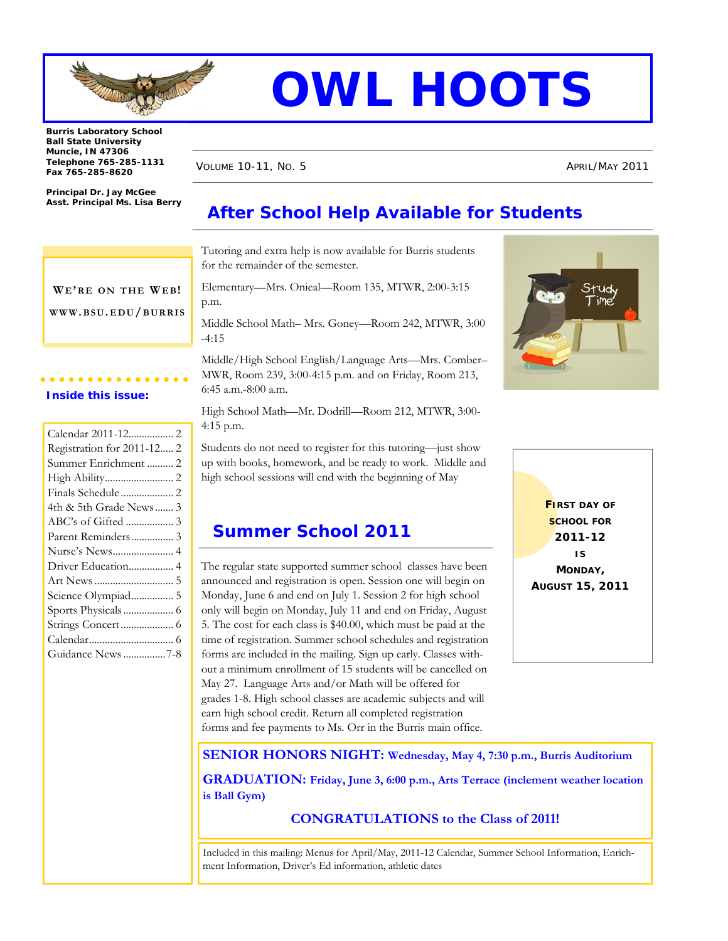

# **OWL HOOTS**

**Burris Laboratory School Ball State University Muncie, IN 47306 Telephone 765-285-1131 Fax 765-285-8620** 

**Principal Dr. Jay McGee Asst. Principal Ms. Lisa Berry**  VOLUME 10-11, No. 5 APRIL/MAY 2011

# **After School Help Available for Students**

Tutoring and extra help is now available for Burris students for the remainder of the semester.

Elementary—Mrs. Onieal—Room 135, MTWR, 2:00-3:15 p.m.

Middle School Math– Mrs. Goney—Room 242, MTWR, 3:00 -4:15

Middle/High School English/Language Arts—Mrs. Comber– MWR, Room 239, 3:00-4:15 p.m. and on Friday, Room 213, 6:45 a.m.-8:00 a.m.

High School Math—Mr. Dodrill—Room 212, MTWR, 3:00- 4:15 p.m.

Students do not need to register for this tutoring—just show up with books, homework, and be ready to work. Middle and high school sessions will end with the beginning of May

## **Summer School 2011**

The regular state supported summer school classes have been announced and registration is open. Session one will begin on Monday, June 6 and end on July 1. Session 2 for high school only will begin on Monday, July 11 and end on Friday, August 5. The cost for each class is \$40.00, which must be paid at the time of registration. Summer school schedules and registration forms are included in the mailing. Sign up early. Classes without a minimum enrollment of 15 students will be cancelled on May 27. Language Arts and/or Math will be offered for grades 1-8. High school classes are academic subjects and will earn high school credit. Return all completed registration forms and fee payments to Ms. Orr in the Burris main office.





**SENIOR HONORS NIGHT: Wednesday, May 4, 7:30 p.m., Burris Auditorium GRADUATION: Friday, June 3, 6:00 p.m., Arts Terrace (inclement weather location is Ball Gym)**

**CONGRATULATIONS to the Class of 2011!** 

Included in this mailing: Menus for April/May, 2011-12 Calendar, Summer School Information, Enrichment Information, Driver's Ed information, athletic dates

WE'RE ON THE WEB! **WWW.BSU. EDU/BURRIS**

#### **Inside this issue:**

| Calendar 2011-12 2         |
|----------------------------|
| Registration for 2011-12 2 |
| Summer Enrichment  2       |
|                            |
| Finals Schedule 2          |
| 4th & 5th Grade News 3     |
| ABC's of Gifted  3         |
| Parent Reminders 3         |
| Nurse's News 4             |
| Driver Education 4         |
|                            |
| Science Olympiad 5         |
|                            |
|                            |
|                            |
| Guidance News 7-8          |
|                            |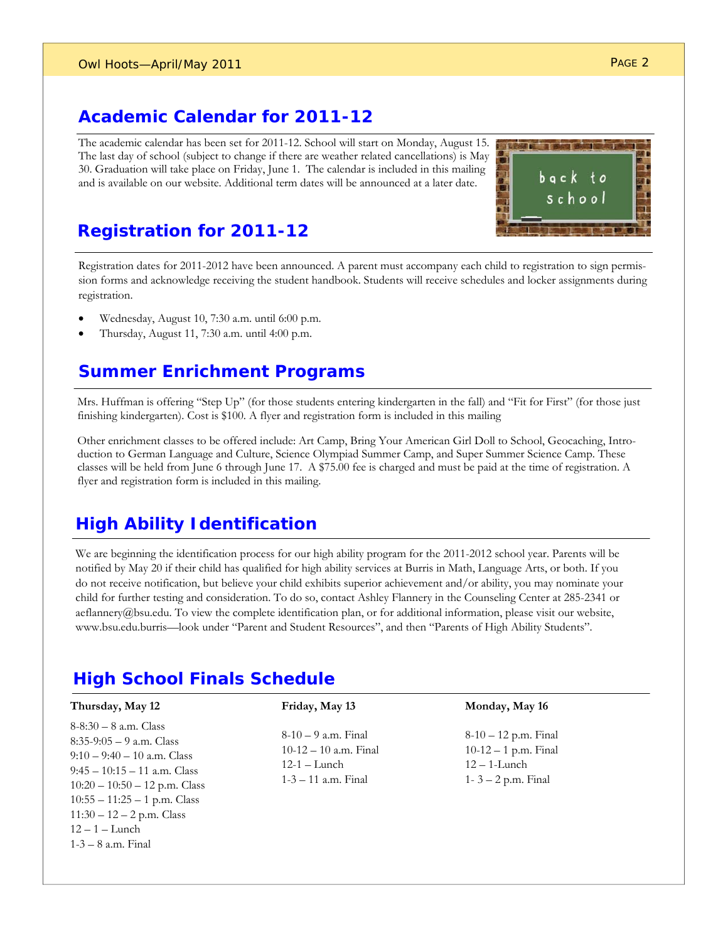#### **Academic Calendar for 2011-12**

The academic calendar has been set for 2011-12. School will start on Monday, August 15. The last day of school (subject to change if there are weather related cancellations) is May 30. Graduation will take place on Friday, June 1. The calendar is included in this mailing and is available on our website. Additional term dates will be announced at a later date.



### **Registration for 2011-12**

Registration dates for 2011-2012 have been announced. A parent must accompany each child to registration to sign permission forms and acknowledge receiving the student handbook. Students will receive schedules and locker assignments during registration.

- Wednesday, August 10, 7:30 a.m. until 6:00 p.m.
- Thursday, August 11, 7:30 a.m. until 4:00 p.m.

## **Summer Enrichment Programs**

Mrs. Huffman is offering "Step Up" (for those students entering kindergarten in the fall) and "Fit for First" (for those just finishing kindergarten). Cost is \$100. A flyer and registration form is included in this mailing

Other enrichment classes to be offered include: Art Camp, Bring Your American Girl Doll to School, Geocaching, Introduction to German Language and Culture, Science Olympiad Summer Camp, and Super Summer Science Camp. These classes will be held from June 6 through June 17. A \$75.00 fee is charged and must be paid at the time of registration. A flyer and registration form is included in this mailing.

## **High Ability Identification**

We are beginning the identification process for our high ability program for the 2011-2012 school year. Parents will be notified by May 20 if their child has qualified for high ability services at Burris in Math, Language Arts, or both. If you do not receive notification, but believe your child exhibits superior achievement and/or ability, you may nominate your child for further testing and consideration. To do so, contact Ashley Flannery in the Counseling Center at 285-2341 or aeflannery@bsu.edu. To view the complete identification plan, or for additional information, please visit our website, www.bsu.edu.burris—look under "Parent and Student Resources", and then "Parents of High Ability Students".

## **High School Finals Schedule**

#### **Thursday, May 12**

8-8:30 – 8 a.m. Class 8:35-9:05 – 9 a.m. Class  $9:10 - 9:40 - 10$  a.m. Class 9:45 – 10:15 – 11 a.m. Class 10:20 – 10:50 – 12 p.m. Class 10:55 – 11:25 – 1 p.m. Class  $11:30 - 12 - 2$  p.m. Class  $12 - 1$  – Lunch 1-3 – 8 a.m. Final

 $8-10-9$  a.m. Final 10-12 – 10 a.m. Final 12-1 – Lunch 1-3 – 11 a.m. Final

**Friday, May 13**

#### **Monday, May 16**

8-10 – 12 p.m. Final 10-12 – 1 p.m. Final 12 – 1-Lunch 1- 3 – 2 p.m. Final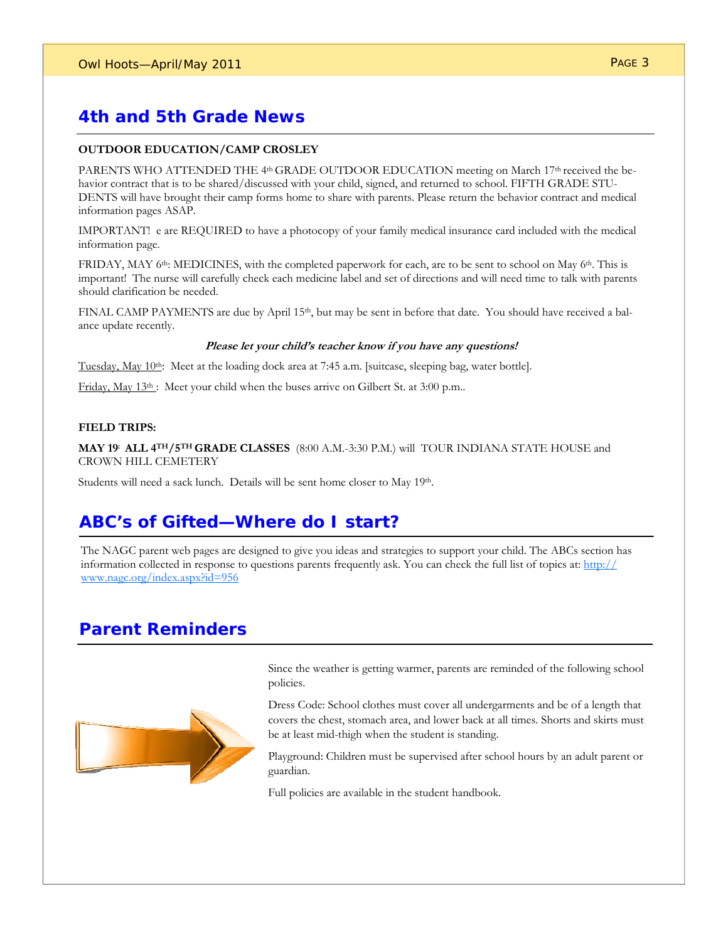## **4th and 5th Grade News**

#### **OUTDOOR EDUCATION/CAMP CROSLEY**

PARENTS WHO ATTENDED THE 4<sup>th</sup> GRADE OUTDOOR EDUCATION meeting on March 17<sup>th</sup> received the behavior contract that is to be shared/discussed with your child, signed, and returned to school. FIFTH GRADE STU-DENTS will have brought their camp forms home to share with parents. Please return the behavior contract and medical information pages ASAP.

IMPORTANT! e are REQUIRED to have a photocopy of your family medical insurance card included with the medical information page.

FRIDAY, MAY 6<sup>th</sup>: MEDICINES, with the completed paperwork for each, are to be sent to school on May 6<sup>th</sup>. This is important! The nurse will carefully check each medicine label and set of directions and will need time to talk with parents should clarification be needed.

FINAL CAMP PAYMENTS are due by April 15<sup>th</sup>, but may be sent in before that date. You should have received a balance update recently.

#### **Please let your child's teacher know if you have any questions!**

Tuesday, May 10th: Meet at the loading dock area at 7:45 a.m. [suitcase, sleeping bag, water bottle].

Friday, May 13th : Meet your child when the buses arrive on Gilbert St. at 3:00 p.m..

#### **FIELD TRIPS:**

**MAY 19: ALL 4TH/5TH GRADE CLASSES** (8:00 A.M.-3:30 P.M.) will TOUR INDIANA STATE HOUSE and CROWN HILL CEMETERY

Students will need a sack lunch. Details will be sent home closer to May 19th.

#### **ABC's of Gifted—Where do I start?**

The NAGC parent web pages are designed to give you ideas and strategies to support your child. The ABCs section has information collected in response to questions parents frequently ask. You can check the full list of topics at: http:// www.nagc.org/index.aspx?id=956

#### **Parent Reminders**



Since the weather is getting warmer, parents are reminded of the following school policies.

Dress Code: School clothes must cover all undergarments and be of a length that covers the chest, stomach area, and lower back at all times. Shorts and skirts must be at least mid-thigh when the student is standing.

Playground: Children must be supervised after school hours by an adult parent or guardian.

Full policies are available in the student handbook.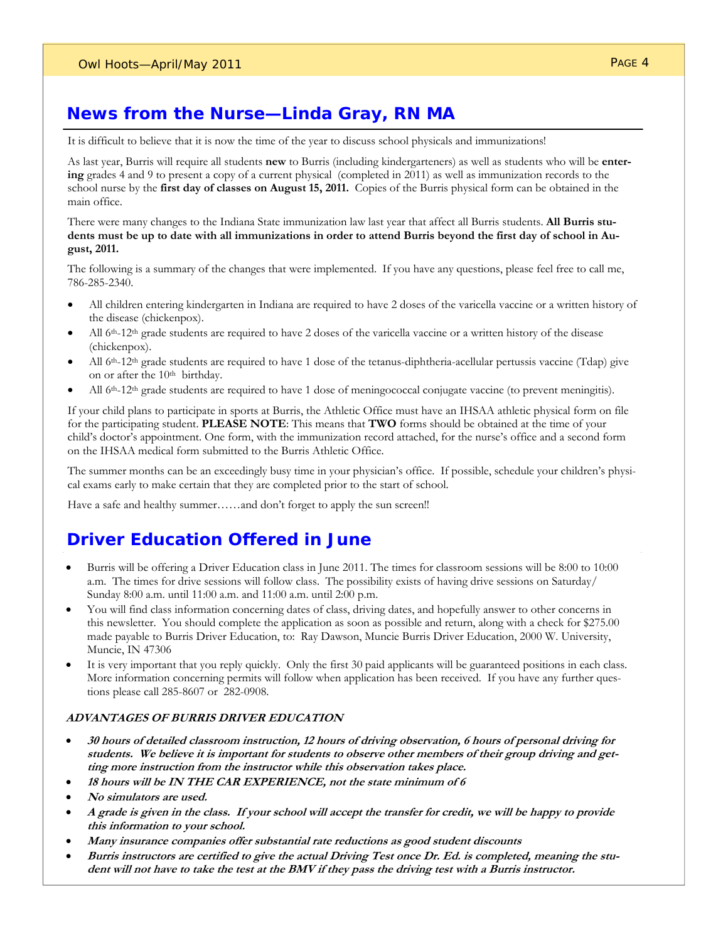## **News from the Nurse—Linda Gray, RN MA**

It is difficult to believe that it is now the time of the year to discuss school physicals and immunizations!

As last year, Burris will require all students **new** to Burris (including kindergarteners) as well as students who will be **entering** grades 4 and 9 to present a copy of a current physical (completed in 2011) as well as immunization records to the school nurse by the **first day of classes on August 15, 2011.** Copies of the Burris physical form can be obtained in the main office.

There were many changes to the Indiana State immunization law last year that affect all Burris students. **All Burris students must be up to date with all immunizations in order to attend Burris beyond the first day of school in August, 2011.**

The following is a summary of the changes that were implemented. If you have any questions, please feel free to call me, 786-285-2340.

- All children entering kindergarten in Indiana are required to have 2 doses of the varicella vaccine or a written history of the disease (chickenpox).
- All 6<sup>th</sup>-12<sup>th</sup> grade students are required to have 2 doses of the varicella vaccine or a written history of the disease (chickenpox).
- All 6th-12th grade students are required to have 1 dose of the tetanus-diphtheria-acellular pertussis vaccine (Tdap) give on or after the 10<sup>th</sup> birthday.
- All 6<sup>th</sup>-12<sup>th</sup> grade students are required to have 1 dose of meningococcal conjugate vaccine (to prevent meningitis).

If your child plans to participate in sports at Burris, the Athletic Office must have an IHSAA athletic physical form on file for the participating student. **PLEASE NOTE**: This means that **TWO** forms should be obtained at the time of your child's doctor's appointment. One form, with the immunization record attached, for the nurse's office and a second form on the IHSAA medical form submitted to the Burris Athletic Office.

The summer months can be an exceedingly busy time in your physician's office. If possible, schedule your children's physical exams early to make certain that they are completed prior to the start of school.

Have a safe and healthy summer......and don't forget to apply the sun screen!!

#### **Driver Education Offered in June**

- Burris will be offering a Driver Education class in June 2011. The times for classroom sessions will be 8:00 to 10:00 a.m. The times for drive sessions will follow class. The possibility exists of having drive sessions on Saturday/ Sunday 8:00 a.m. until 11:00 a.m. and 11:00 a.m. until 2:00 p.m.
- You will find class information concerning dates of class, driving dates, and hopefully answer to other concerns in this newsletter. You should complete the application as soon as possible and return, along with a check for \$275.00 made payable to Burris Driver Education, to: Ray Dawson, Muncie Burris Driver Education, 2000 W. University, Muncie, IN 47306
- It is very important that you reply quickly. Only the first 30 paid applicants will be guaranteed positions in each class. More information concerning permits will follow when application has been received. If you have any further questions please call 285-8607 or 282-0908.

#### **ADVANTAGES OF BURRIS DRIVER EDUCATION**

- **30 hours of detailed classroom instruction, 12 hours of driving observation, 6 hours of personal driving for students. We believe it is important for students to observe other members of their group driving and getting more instruction from the instructor while this observation takes place.**
- **18 hours will be IN THE CAR EXPERIENCE, not the state minimum of 6**
- **No simulators are used.**
- **A grade is given in the class. If your school will accept the transfer for credit, we will be happy to provide this information to your school.**
- **Many insurance companies offer substantial rate reductions as good student discounts**
- **Burris instructors are certified to give the actual Driving Test once Dr. Ed. is completed, meaning the student will not have to take the test at the BMV if they pass the driving test with a Burris instructor.**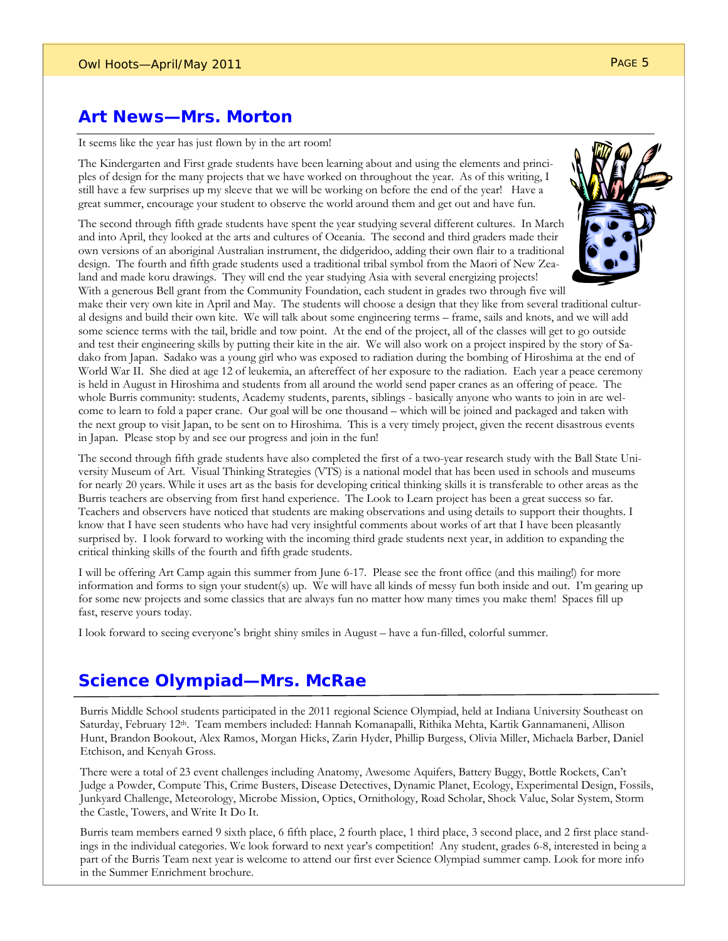#### **Art News—Mrs. Morton**

It seems like the year has just flown by in the art room!

The Kindergarten and First grade students have been learning about and using the elements and principles of design for the many projects that we have worked on throughout the year. As of this writing, I still have a few surprises up my sleeve that we will be working on before the end of the year! Have a great summer, encourage your student to observe the world around them and get out and have fun.

The second through fifth grade students have spent the year studying several different cultures. In March and into April, they looked at the arts and cultures of Oceania. The second and third graders made their own versions of an aboriginal Australian instrument, the didgeridoo, adding their own flair to a traditional design. The fourth and fifth grade students used a traditional tribal symbol from the Maori of New Zealand and made koru drawings. They will end the year studying Asia with several energizing projects! With a generous Bell grant from the Community Foundation, each student in grades two through five will



make their very own kite in April and May. The students will choose a design that they like from several traditional cultural designs and build their own kite. We will talk about some engineering terms – frame, sails and knots, and we will add some science terms with the tail, bridle and tow point. At the end of the project, all of the classes will get to go outside and test their engineering skills by putting their kite in the air. We will also work on a project inspired by the story of Sadako from Japan. Sadako was a young girl who was exposed to radiation during the bombing of Hiroshima at the end of World War II. She died at age 12 of leukemia, an aftereffect of her exposure to the radiation. Each year a peace ceremony is held in August in Hiroshima and students from all around the world send paper cranes as an offering of peace. The whole Burris community: students, Academy students, parents, siblings - basically anyone who wants to join in are welcome to learn to fold a paper crane. Our goal will be one thousand – which will be joined and packaged and taken with the next group to visit Japan, to be sent on to Hiroshima. This is a very timely project, given the recent disastrous events in Japan. Please stop by and see our progress and join in the fun!

The second through fifth grade students have also completed the first of a two-year research study with the Ball State University Museum of Art. Visual Thinking Strategies (VTS) is a national model that has been used in schools and museums for nearly 20 years. While it uses art as the basis for developing critical thinking skills it is transferable to other areas as the Burris teachers are observing from first hand experience. The Look to Learn project has been a great success so far. Teachers and observers have noticed that students are making observations and using details to support their thoughts. I know that I have seen students who have had very insightful comments about works of art that I have been pleasantly surprised by. I look forward to working with the incoming third grade students next year, in addition to expanding the critical thinking skills of the fourth and fifth grade students.

I will be offering Art Camp again this summer from June 6-17. Please see the front office (and this mailing!) for more information and forms to sign your student(s) up. We will have all kinds of messy fun both inside and out. I'm gearing up for some new projects and some classics that are always fun no matter how many times you make them! Spaces fill up fast, reserve yours today.

I look forward to seeing everyone's bright shiny smiles in August – have a fun-filled, colorful summer.

## **Science Olympiad—Mrs. McRae**

Burris Middle School students participated in the 2011 regional Science Olympiad, held at Indiana University Southeast on Saturday, February 12<sup>th</sup>. Team members included: Hannah Komanapalli, Rithika Mehta, Kartik Gannamaneni, Allison Hunt, Brandon Bookout, Alex Ramos, Morgan Hicks, Zarin Hyder, Phillip Burgess, Olivia Miller, Michaela Barber, Daniel Etchison, and Kenyah Gross.

There were a total of 23 event challenges including Anatomy, Awesome Aquifers, Battery Buggy, Bottle Rockets, Can't Judge a Powder, Compute This, Crime Busters, Disease Detectives, Dynamic Planet, Ecology, Experimental Design, Fossils, Junkyard Challenge, Meteorology, Microbe Mission, Optics, Ornithology, Road Scholar, Shock Value, Solar System, Storm the Castle, Towers, and Write It Do It.

Burris team members earned 9 sixth place, 6 fifth place, 2 fourth place, 1 third place, 3 second place, and 2 first place standings in the individual categories. We look forward to next year's competition! Any student, grades 6-8, interested in being a part of the Burris Team next year is welcome to attend our first ever Science Olympiad summer camp. Look for more info in the Summer Enrichment brochure.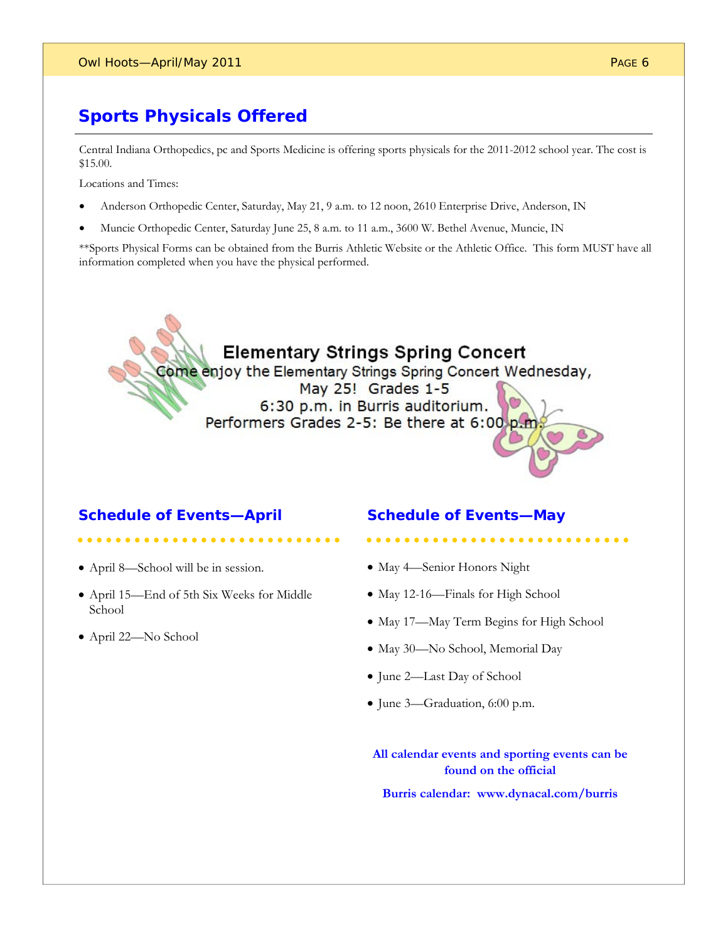# **Sports Physicals Offered**

Central Indiana Orthopedics, pc and Sports Medicine is offering sports physicals for the 2011-2012 school year. The cost is \$15.00.

Locations and Times:

- Anderson Orthopedic Center, Saturday, May 21, 9 a.m. to 12 noon, 2610 Enterprise Drive, Anderson, IN
- Muncie Orthopedic Center, Saturday June 25, 8 a.m. to 11 a.m., 3600 W. Bethel Avenue, Muncie, IN

\*\*Sports Physical Forms can be obtained from the Burris Athletic Website or the Athletic Office. This form MUST have all information completed when you have the physical performed.

# **Elementary Strings Spring Concert**

Come enjoy the Elementary Strings Spring Concert Wednesday, May 25! Grades 1-5

6:30 p.m. in Burris auditorium. Performers Grades 2-5: Be there at 6:00 p.m

#### **Schedule of Events—April**

#### **Schedule of Events—May**

- April 8—School will be in session.
- April 15—End of 5th Six Weeks for Middle School
- April 22—No School

#### • May 4-Senior Honors Night

- May 12-16—Finals for High School
- May 17—May Term Begins for High School
- May 30—No School, Memorial Day
- June 2—Last Day of School
- June 3—Graduation, 6:00 p.m.

**All calendar events and sporting events can be found on the official** 

**Burris calendar: www.dynacal.com/burris**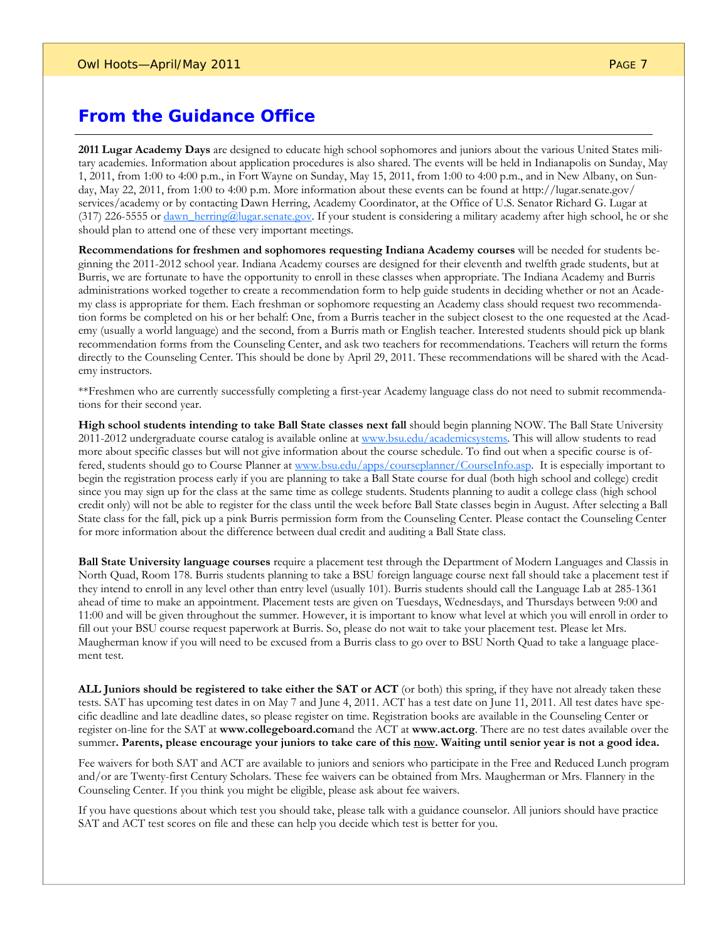### **From the Guidance Office**

**2011 Lugar Academy Days** are designed to educate high school sophomores and juniors about the various United States military academies. Information about application procedures is also shared. The events will be held in Indianapolis on Sunday, May 1, 2011, from 1:00 to 4:00 p.m., in Fort Wayne on Sunday, May 15, 2011, from 1:00 to 4:00 p.m., and in New Albany, on Sunday, May 22, 2011, from 1:00 to 4:00 p.m. More information about these events can be found at http://lugar.senate.gov/ services/academy or by contacting Dawn Herring, Academy Coordinator, at the Office of U.S. Senator Richard G. Lugar at (317) 226-5555 or dawn\_herring@lugar.senate.gov. If your student is considering a military academy after high school, he or she should plan to attend one of these very important meetings.

**Recommendations for freshmen and sophomores requesting Indiana Academy courses** will be needed for students beginning the 2011-2012 school year. Indiana Academy courses are designed for their eleventh and twelfth grade students, but at Burris, we are fortunate to have the opportunity to enroll in these classes when appropriate. The Indiana Academy and Burris administrations worked together to create a recommendation form to help guide students in deciding whether or not an Academy class is appropriate for them. Each freshman or sophomore requesting an Academy class should request two recommendation forms be completed on his or her behalf: One, from a Burris teacher in the subject closest to the one requested at the Academy (usually a world language) and the second, from a Burris math or English teacher. Interested students should pick up blank recommendation forms from the Counseling Center, and ask two teachers for recommendations. Teachers will return the forms directly to the Counseling Center. This should be done by April 29, 2011. These recommendations will be shared with the Academy instructors.

\*\*Freshmen who are currently successfully completing a first-year Academy language class do not need to submit recommendations for their second year.

**High school students intending to take Ball State classes next fall** should begin planning NOW. The Ball State University 2011-2012 undergraduate course catalog is available online at www.bsu.edu/academicsystems. This will allow students to read more about specific classes but will not give information about the course schedule. To find out when a specific course is offered, students should go to Course Planner at www.bsu.edu/apps/courseplanner/CourseInfo.asp. It is especially important to begin the registration process early if you are planning to take a Ball State course for dual (both high school and college) credit since you may sign up for the class at the same time as college students. Students planning to audit a college class (high school credit only) will not be able to register for the class until the week before Ball State classes begin in August. After selecting a Ball State class for the fall, pick up a pink Burris permission form from the Counseling Center. Please contact the Counseling Center for more information about the difference between dual credit and auditing a Ball State class.

**Ball State University language courses** require a placement test through the Department of Modern Languages and Classis in North Quad, Room 178. Burris students planning to take a BSU foreign language course next fall should take a placement test if they intend to enroll in any level other than entry level (usually 101). Burris students should call the Language Lab at 285-1361 ahead of time to make an appointment. Placement tests are given on Tuesdays, Wednesdays, and Thursdays between 9:00 and 11:00 and will be given throughout the summer. However, it is important to know what level at which you will enroll in order to fill out your BSU course request paperwork at Burris. So, please do not wait to take your placement test. Please let Mrs. Maugherman know if you will need to be excused from a Burris class to go over to BSU North Quad to take a language placement test.

**ALL Juniors should be registered to take either the SAT or ACT** (or both) this spring, if they have not already taken these tests. SAT has upcoming test dates in on May 7 and June 4, 2011. ACT has a test date on June 11, 2011. All test dates have specific deadline and late deadline dates, so please register on time. Registration books are available in the Counseling Center or register on-line for the SAT at **www.collegeboard.com**and the ACT at **www.act.org**. There are no test dates available over the summer**. Parents, please encourage your juniors to take care of this now. Waiting until senior year is not a good idea.** 

Fee waivers for both SAT and ACT are available to juniors and seniors who participate in the Free and Reduced Lunch program and/or are Twenty-first Century Scholars. These fee waivers can be obtained from Mrs. Maugherman or Mrs. Flannery in the Counseling Center. If you think you might be eligible, please ask about fee waivers.

If you have questions about which test you should take, please talk with a guidance counselor. All juniors should have practice SAT and ACT test scores on file and these can help you decide which test is better for you.